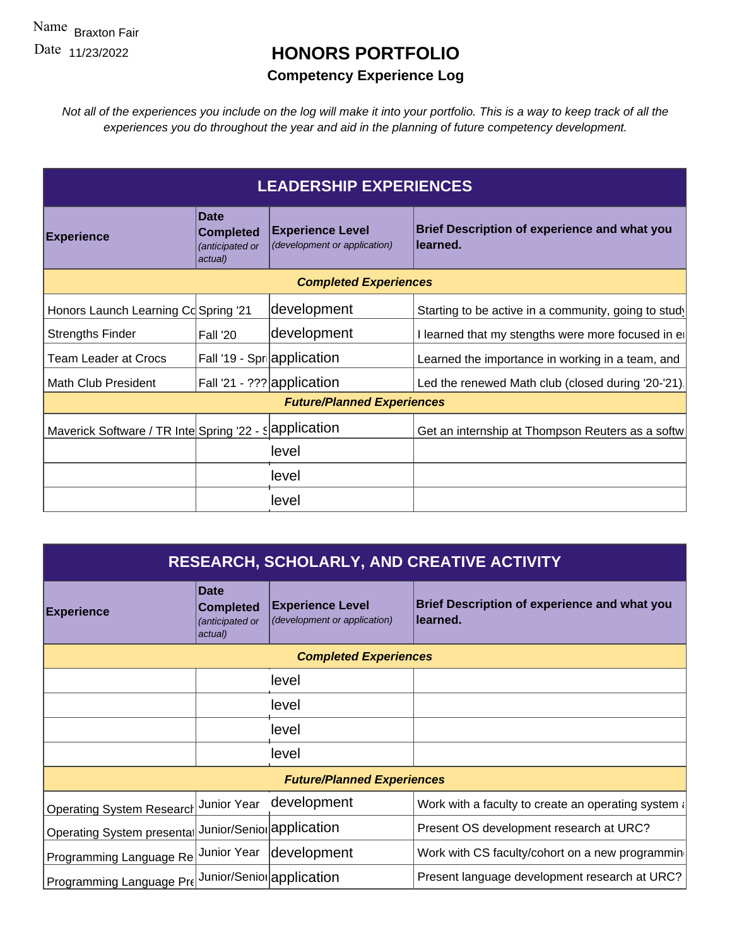## **HONORS PORTFOLIO**

## **Competency Experience Log**

| allic Braxton Fair                                     |                                                               |                                                         |                                                                                                                                                                                                                                |  |  |  |
|--------------------------------------------------------|---------------------------------------------------------------|---------------------------------------------------------|--------------------------------------------------------------------------------------------------------------------------------------------------------------------------------------------------------------------------------|--|--|--|
| ate <sub>11/23/2022</sub>                              | <b>HONORS PORTFOLIO</b>                                       |                                                         |                                                                                                                                                                                                                                |  |  |  |
| <b>Competency Experience Log</b>                       |                                                               |                                                         |                                                                                                                                                                                                                                |  |  |  |
|                                                        |                                                               |                                                         | Not all of the experiences you include on the log will make it into your portfolio. This is a way to keep track of all the<br>experiences you do throughout the year and aid in the planning of future competency development. |  |  |  |
|                                                        |                                                               | <b>LEADERSHIP EXPERIENCES</b>                           |                                                                                                                                                                                                                                |  |  |  |
| <b>Experience</b>                                      | <b>Date</b><br><b>Completed</b><br>anticipated or<br>actual)  | <b>Experience Level</b><br>(development or application) | Brief Description of experience and what you<br>learned.                                                                                                                                                                       |  |  |  |
| <b>Completed Experiences</b>                           |                                                               |                                                         |                                                                                                                                                                                                                                |  |  |  |
| Honors Launch Learning Co Spring '21                   |                                                               | development                                             | Starting to be active in a community, going to study                                                                                                                                                                           |  |  |  |
| Strengths Finder                                       | Fall '20                                                      | development                                             | I learned that my stengths were more focused in el                                                                                                                                                                             |  |  |  |
| Team Leader at Crocs                                   |                                                               | Fall '19 - Spri application                             | Learned the importance in working in a team, and                                                                                                                                                                               |  |  |  |
| Math Club President                                    |                                                               | Fall '21 - ??? application                              | Led the renewed Math club (closed during '20-'21).                                                                                                                                                                             |  |  |  |
|                                                        |                                                               | <b>Future/Planned Experiences</b>                       |                                                                                                                                                                                                                                |  |  |  |
| Maverick Software / TR Inte Spring '22 - s application |                                                               |                                                         | Get an internship at Thompson Reuters as a softw                                                                                                                                                                               |  |  |  |
|                                                        |                                                               | level                                                   |                                                                                                                                                                                                                                |  |  |  |
|                                                        |                                                               | level                                                   |                                                                                                                                                                                                                                |  |  |  |
|                                                        |                                                               | level                                                   |                                                                                                                                                                                                                                |  |  |  |
|                                                        |                                                               |                                                         |                                                                                                                                                                                                                                |  |  |  |
|                                                        |                                                               |                                                         | <b>RESEARCH, SCHOLARLY, AND CREATIVE ACTIVITY</b>                                                                                                                                                                              |  |  |  |
|                                                        |                                                               |                                                         |                                                                                                                                                                                                                                |  |  |  |
| <b>Experience</b>                                      | <b>Date</b><br><b>Completed</b><br>(anticipated or<br>actual) | <b>Experience Level</b><br>(development or application) | <b>Brief Description of experience and what you</b><br>learned.                                                                                                                                                                |  |  |  |
|                                                        |                                                               | <b>Completed Experiences</b>                            |                                                                                                                                                                                                                                |  |  |  |
|                                                        |                                                               | level                                                   |                                                                                                                                                                                                                                |  |  |  |
|                                                        |                                                               | level                                                   |                                                                                                                                                                                                                                |  |  |  |
|                                                        |                                                               | level                                                   |                                                                                                                                                                                                                                |  |  |  |
|                                                        |                                                               | level                                                   |                                                                                                                                                                                                                                |  |  |  |
|                                                        |                                                               | <b>Future/Planned Experiences</b>                       |                                                                                                                                                                                                                                |  |  |  |
| Operating System Research Junior Year development      |                                                               |                                                         | Work with a faculty to create an operating system :                                                                                                                                                                            |  |  |  |
| Operating System presental Junior/Seniol application   |                                                               |                                                         | Present OS development research at URC?                                                                                                                                                                                        |  |  |  |
| Programming Language Re Junior Year development        |                                                               |                                                         | Work with CS faculty/cohort on a new programmin                                                                                                                                                                                |  |  |  |
| Programming Language Pre Junior/Senior application     |                                                               |                                                         | Present language development research at URC?                                                                                                                                                                                  |  |  |  |
|                                                        |                                                               |                                                         |                                                                                                                                                                                                                                |  |  |  |

| <b>RESEARCH, SCHOLARLY, AND CREATIVE ACTIVITY</b>                              |                                                               |                                                         |                                                                  |  |  |  |  |  |
|--------------------------------------------------------------------------------|---------------------------------------------------------------|---------------------------------------------------------|------------------------------------------------------------------|--|--|--|--|--|
| <b>Experience</b>                                                              | <b>Date</b><br><b>Completed</b><br>(anticipated or<br>actual) | <b>Experience Level</b><br>(development or application) | Brief Description of experience and what you<br><b>∣learned.</b> |  |  |  |  |  |
| <b>Completed Experiences</b>                                                   |                                                               |                                                         |                                                                  |  |  |  |  |  |
|                                                                                |                                                               | level                                                   |                                                                  |  |  |  |  |  |
|                                                                                |                                                               | level                                                   |                                                                  |  |  |  |  |  |
|                                                                                |                                                               | level                                                   |                                                                  |  |  |  |  |  |
|                                                                                |                                                               | level                                                   |                                                                  |  |  |  |  |  |
| <b>Future/Planned Experiences</b>                                              |                                                               |                                                         |                                                                  |  |  |  |  |  |
| Operating System Research                                                      | Junior Year                                                   | development                                             | Work with a faculty to create an operating system a              |  |  |  |  |  |
| Operating System presental Junior/Seniol application                           |                                                               |                                                         | Present OS development research at URC?                          |  |  |  |  |  |
| Programming Language Re                                                        | Junior Year                                                   | development                                             | Work with CS faculty/cohort on a new programming                 |  |  |  |  |  |
| $ {\sf Programming \; Language \; Pre} $ Junior/Senio $ {\sf application \;} $ |                                                               |                                                         | Present language development research at URC?                    |  |  |  |  |  |